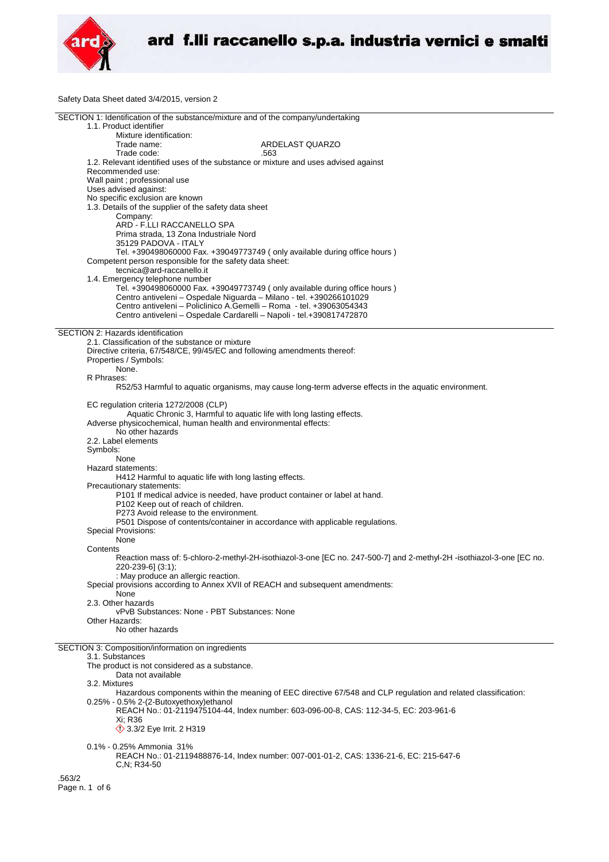

Safety Data Sheet dated 3/4/2015, version 2

| SECTION 1: Identification of the substance/mixture and of the company/undertaking                                    |
|----------------------------------------------------------------------------------------------------------------------|
| 1.1. Product identifier                                                                                              |
| Mixture identification:                                                                                              |
| Trade name:<br>ARDELAST QUARZO                                                                                       |
| Trade code:<br>.563                                                                                                  |
| 1.2. Relevant identified uses of the substance or mixture and uses advised against                                   |
| Recommended use:                                                                                                     |
| Wall paint ; professional use                                                                                        |
| Uses advised against:                                                                                                |
| No specific exclusion are known                                                                                      |
| 1.3. Details of the supplier of the safety data sheet                                                                |
| Company:                                                                                                             |
| ARD - F.LLI RACCANELLO SPA                                                                                           |
| Prima strada, 13 Zona Industriale Nord                                                                               |
| 35129 PADOVA - ITALY                                                                                                 |
| Tel. +390498060000 Fax. +39049773749 (only available during office hours)                                            |
| Competent person responsible for the safety data sheet:<br>tecnica@ard-raccanello.it                                 |
|                                                                                                                      |
| 1.4. Emergency telephone number<br>Tel. +390498060000 Fax. +39049773749 (only available during office hours)         |
| Centro antiveleni - Ospedale Niguarda - Milano - tel. +390266101029                                                  |
| Centro antiveleni - Policlinico A.Gemelli - Roma - tel. +39063054343                                                 |
|                                                                                                                      |
| Centro antiveleni - Ospedale Cardarelli - Napoli - tel.+390817472870                                                 |
| SECTION 2: Hazards identification                                                                                    |
| 2.1. Classification of the substance or mixture                                                                      |
| Directive criteria, 67/548/CE, 99/45/EC and following amendments thereof:                                            |
|                                                                                                                      |
| Properties / Symbols:<br>None.                                                                                       |
|                                                                                                                      |
| R Phrases:                                                                                                           |
| R52/53 Harmful to aquatic organisms, may cause long-term adverse effects in the aquatic environment.                 |
|                                                                                                                      |
| EC regulation criteria 1272/2008 (CLP)                                                                               |
| Aquatic Chronic 3, Harmful to aquatic life with long lasting effects.                                                |
| Adverse physicochemical, human health and environmental effects:<br>No other hazards                                 |
|                                                                                                                      |
| 2.2. Label elements                                                                                                  |
| Symbols:                                                                                                             |
| None                                                                                                                 |
| Hazard statements:                                                                                                   |
| H412 Harmful to aquatic life with long lasting effects.                                                              |
| Precautionary statements:                                                                                            |
| P101 If medical advice is needed, have product container or label at hand.                                           |
| P102 Keep out of reach of children.                                                                                  |
| P273 Avoid release to the environment.                                                                               |
| P501 Dispose of contents/container in accordance with applicable regulations.                                        |
| Special Provisions:                                                                                                  |
| None                                                                                                                 |
| Contents                                                                                                             |
| Reaction mass of: 5-chloro-2-methyl-2H-isothiazol-3-one [EC no. 247-500-7] and 2-methyl-2H -isothiazol-3-one [EC no. |
| 220-239-6] (3:1);                                                                                                    |
| : May produce an allergic reaction.                                                                                  |
| Special provisions according to Annex XVII of REACH and subsequent amendments:                                       |
| None<br>2.3. Other hazards                                                                                           |
| vPvB Substances: None - PBT Substances: None                                                                         |
| Other Hazards:                                                                                                       |
| No other hazards                                                                                                     |
|                                                                                                                      |
| SECTION 3: Composition/information on ingredients                                                                    |
| 3.1. Substances                                                                                                      |
| The product is not considered as a substance.                                                                        |
| Data not available                                                                                                   |
| 3.2. Mixtures                                                                                                        |
| Hazardous components within the meaning of EEC directive 67/548 and CLP regulation and related classification:       |
| 0.25% - 0.5% 2-(2-Butoxyethoxy)ethanol                                                                               |
| REACH No.: 01-2119475104-44, Index number: 603-096-00-8, CAS: 112-34-5, EC: 203-961-6                                |
| Xi: R36                                                                                                              |
| $\langle$ 3.3/2 Eye Irrit. 2 H319                                                                                    |
|                                                                                                                      |
| 0.1% - 0.25% Ammonia 31%                                                                                             |
| REACH No.: 01-2119488876-14, Index number: 007-001-01-2, CAS: 1336-21-6, EC: 215-647-6                               |
| $C.N; R34-50$                                                                                                        |
|                                                                                                                      |
| .563/2                                                                                                               |
| Page n. 1 of 6                                                                                                       |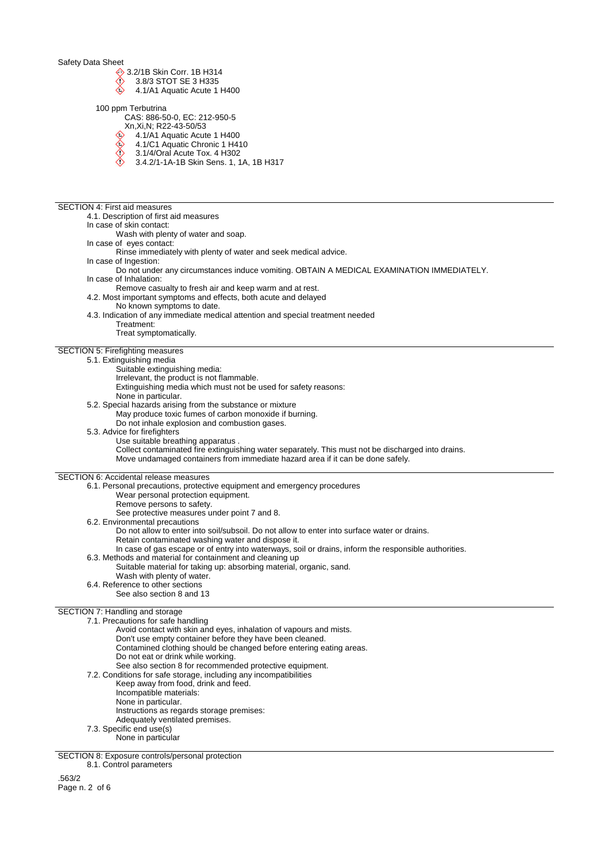Safety Data Sheet

- 
- **♦ 3.2/1B Skin Corr. 1B H314**<br>12.3.8/3 STOT SE 3 H335 3.8/3 STOT SE 3 H335
- 4.1/A1 Aquatic Acute 1 H400
- 100 ppm Terbutrina
	- CAS: 886-50-0, EC: 212-950-5
	- Xn,Xi,N; R22-43-50/53
	- 4.1/A1 Aquatic Acute 1 H400
	- $\diamondsuit$ 4.1/C1 Aquatic Chronic 1 H410
	- $\breve{\Diamond}$ 3.1/4/Oral Acute Tox. 4 H302
	- $\bigtriangleup$ 3.4.2/1-1A-1B Skin Sens. 1, 1A, 1B H317

SECTION 4: First aid measures 4.1. Description of first aid measures In case of skin contact: Wash with plenty of water and soap. In case of eyes contact: Rinse immediately with plenty of water and seek medical advice. In case of Ingestion: Do not under any circumstances induce vomiting. OBTAIN A MEDICAL EXAMINATION IMMEDIATELY. In case of Inhalation: Remove casualty to fresh air and keep warm and at rest. 4.2. Most important symptoms and effects, both acute and delayed No known symptoms to date. 4.3. Indication of any immediate medical attention and special treatment needed Treatment: Treat symptomatically. SECTION 5: Firefighting measures 5.1. Extinguishing media Suitable extinguishing media: Irrelevant, the product is not flammable. Extinguishing media which must not be used for safety reasons: None in particular. 5.2. Special hazards arising from the substance or mixture May produce toxic fumes of carbon monoxide if burning. Do not inhale explosion and combustion gases. 5.3. Advice for firefighters Use suitable breathing apparatus . Collect contaminated fire extinguishing water separately. This must not be discharged into drains. Move undamaged containers from immediate hazard area if it can be done safely. SECTION 6: Accidental release measures 6.1. Personal precautions, protective equipment and emergency procedures Wear personal protection equipment. Remove persons to safety. See protective measures under point 7 and 8. 6.2. Environmental precautions Do not allow to enter into soil/subsoil. Do not allow to enter into surface water or drains. Retain contaminated washing water and dispose it. In case of gas escape or of entry into waterways, soil or drains, inform the responsible authorities. 6.3. Methods and material for containment and cleaning up Suitable material for taking up: absorbing material, organic, sand. Wash with plenty of water. 6.4. Reference to other sections See also section 8 and 13 SECTION 7: Handling and storage 7.1. Precautions for safe handling Avoid contact with skin and eyes, inhalation of vapours and mists. Don't use empty container before they have been cleaned. Contamined clothing should be changed before entering eating areas. Do not eat or drink while working. See also section 8 for recommended protective equipment. 7.2. Conditions for safe storage, including any incompatibilities Keep away from food, drink and feed. Incompatible materials: None in particular. Instructions as regards storage premises: Adequately ventilated premises. 7.3. Specific end use(s) None in particular

SECTION 8: Exposure controls/personal protection

8.1. Control parameters

.563/2 Page n. 2 of 6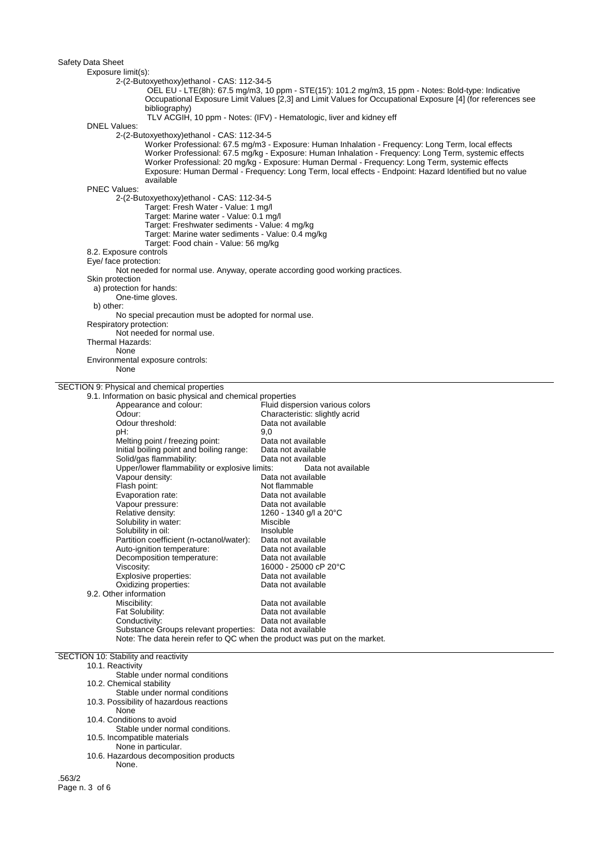| Safety Data Sheet                                                         |                                                                                                             |
|---------------------------------------------------------------------------|-------------------------------------------------------------------------------------------------------------|
| Exposure limit(s):                                                        |                                                                                                             |
| 2-(2-Butoxyethoxy)ethanol - CAS: 112-34-5                                 |                                                                                                             |
|                                                                           | OEL EU - LTE(8h): 67.5 mg/m3, 10 ppm - STE(15'): 101.2 mg/m3, 15 ppm - Notes: Bold-type: Indicative         |
|                                                                           | Occupational Exposure Limit Values [2,3] and Limit Values for Occupational Exposure [4] (for references see |
| bibliography)                                                             |                                                                                                             |
|                                                                           | TLV ACGIH, 10 ppm - Notes: (IFV) - Hematologic, liver and kidney eff                                        |
| <b>DNEL Values:</b>                                                       |                                                                                                             |
| 2-(2-Butoxyethoxy)ethanol - CAS: 112-34-5                                 |                                                                                                             |
|                                                                           | Worker Professional: 67.5 mg/m3 - Exposure: Human Inhalation - Frequency: Long Term, local effects          |
|                                                                           | Worker Professional: 67.5 mg/kg - Exposure: Human Inhalation - Frequency: Long Term, systemic effects       |
|                                                                           | Worker Professional: 20 mg/kg - Exposure: Human Dermal - Frequency: Long Term, systemic effects             |
|                                                                           | Exposure: Human Dermal - Frequency: Long Term, local effects - Endpoint: Hazard Identified but no value     |
| available                                                                 |                                                                                                             |
| <b>PNEC Values:</b>                                                       |                                                                                                             |
| 2-(2-Butoxyethoxy)ethanol - CAS: 112-34-5                                 |                                                                                                             |
| Target: Fresh Water - Value: 1 mg/l                                       |                                                                                                             |
| Target: Marine water - Value: 0.1 mg/l                                    |                                                                                                             |
| Target: Freshwater sediments - Value: 4 mg/kg                             |                                                                                                             |
| Target: Marine water sediments - Value: 0.4 mg/kg                         |                                                                                                             |
| Target: Food chain - Value: 56 mg/kg                                      |                                                                                                             |
| 8.2. Exposure controls                                                    |                                                                                                             |
| Eye/ face protection:                                                     |                                                                                                             |
|                                                                           | Not needed for normal use. Anyway, operate according good working practices.                                |
| Skin protection                                                           |                                                                                                             |
| a) protection for hands:                                                  |                                                                                                             |
| One-time gloves.                                                          |                                                                                                             |
| b) other:                                                                 |                                                                                                             |
| No special precaution must be adopted for normal use.                     |                                                                                                             |
| Respiratory protection:                                                   |                                                                                                             |
| Not needed for normal use.                                                |                                                                                                             |
| Thermal Hazards:                                                          |                                                                                                             |
| None                                                                      |                                                                                                             |
|                                                                           |                                                                                                             |
| Environmental exposure controls:                                          |                                                                                                             |
| None                                                                      |                                                                                                             |
|                                                                           |                                                                                                             |
| SECTION 9: Physical and chemical properties                               |                                                                                                             |
| 9.1. Information on basic physical and chemical properties                |                                                                                                             |
| Appearance and colour:                                                    | Fluid dispersion various colors                                                                             |
| Odour:                                                                    | Characteristic: slightly acrid                                                                              |
| Odour threshold:                                                          | Data not available                                                                                          |
| pH:                                                                       | 9,0                                                                                                         |
| Melting point / freezing point:                                           | Data not available                                                                                          |
| Initial boiling point and boiling range:                                  | Data not available                                                                                          |
| Solid/gas flammability:                                                   | Data not available                                                                                          |
| Upper/lower flammability or explosive limits:                             | Data not available                                                                                          |
| Vapour density:                                                           | Data not available                                                                                          |
| Flash point:                                                              | Not flammable                                                                                               |
| Evaporation rate:                                                         | Data not available                                                                                          |
| Vapour pressure:                                                          | Data not available                                                                                          |
| Relative density:                                                         | 1260 - 1340 g/l a 20°C                                                                                      |
| Solubility in water:                                                      | Miscible                                                                                                    |
| Solubility in oil:                                                        | Insoluble                                                                                                   |
| Partition coefficient (n-octanol/water):                                  | Data not available                                                                                          |
| Auto-ignition temperature:                                                | Data not available<br>Data not available                                                                    |
| Decomposition temperature:                                                | 16000 - 25000 cP 20°C                                                                                       |
| Viscosity:                                                                |                                                                                                             |
| Explosive properties:                                                     | Data not available<br>Data not available                                                                    |
| Oxidizing properties:<br>9.2. Other information                           |                                                                                                             |
| Miscibility:                                                              | Data not available                                                                                          |
|                                                                           | Data not available                                                                                          |
| Fat Solubility:<br>Conductivity:                                          | Data not available                                                                                          |
| Substance Groups relevant properties: Data not available                  |                                                                                                             |
| Note: The data herein refer to QC when the product was put on the market. |                                                                                                             |

## SECTION 10: Stability and reactivity

10.1. Reactivity

Stable under normal conditions

- 10.2. Chemical stability
- Stable under normal conditions
- 10.3. Possibility of hazardous reactions
- None
- 10.4. Conditions to avoid
- Stable under normal conditions.
- 10.5. Incompatible materials
- None in particular.
- 10.6. Hazardous decomposition products None.

.563/2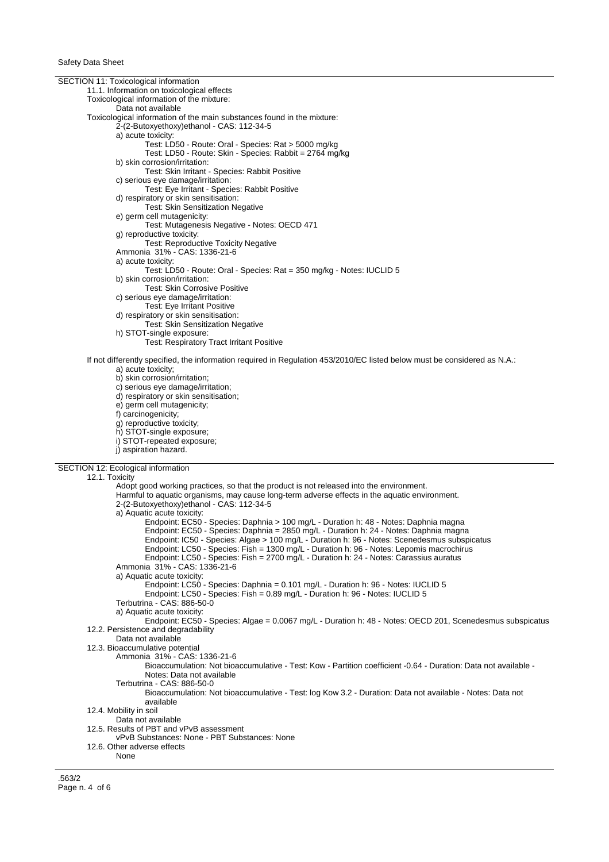| SECTION 11: Toxicological information<br>11.1. Information on toxicological effects                                                                                                      |
|------------------------------------------------------------------------------------------------------------------------------------------------------------------------------------------|
| Toxicological information of the mixture:                                                                                                                                                |
| Data not available                                                                                                                                                                       |
| Toxicological information of the main substances found in the mixture:                                                                                                                   |
| 2-(2-Butoxyethoxy)ethanol - CAS: 112-34-5                                                                                                                                                |
| a) acute toxicity:                                                                                                                                                                       |
| Test: LD50 - Route: Oral - Species: Rat > 5000 mg/kg                                                                                                                                     |
| Test: LD50 - Route: Skin - Species: Rabbit = 2764 mg/kg                                                                                                                                  |
| b) skin corrosion/irritation:<br>Test: Skin Irritant - Species: Rabbit Positive                                                                                                          |
| c) serious eye damage/irritation:                                                                                                                                                        |
| Test: Eye Irritant - Species: Rabbit Positive                                                                                                                                            |
| d) respiratory or skin sensitisation:                                                                                                                                                    |
| Test: Skin Sensitization Negative                                                                                                                                                        |
| e) germ cell mutagenicity:                                                                                                                                                               |
| Test: Mutagenesis Negative - Notes: OECD 471                                                                                                                                             |
| g) reproductive toxicity:                                                                                                                                                                |
| <b>Test: Reproductive Toxicity Negative</b>                                                                                                                                              |
| Ammonia 31% - CAS: 1336-21-6                                                                                                                                                             |
| a) acute toxicity:<br>Test: LD50 - Route: Oral - Species: Rat = 350 mg/kg - Notes: IUCLID 5                                                                                              |
| b) skin corrosion/irritation:                                                                                                                                                            |
| <b>Test: Skin Corrosive Positive</b>                                                                                                                                                     |
| c) serious eye damage/irritation:                                                                                                                                                        |
| Test: Eye Irritant Positive                                                                                                                                                              |
| d) respiratory or skin sensitisation:                                                                                                                                                    |
| Test: Skin Sensitization Negative                                                                                                                                                        |
| h) STOT-single exposure:                                                                                                                                                                 |
| <b>Test: Respiratory Tract Irritant Positive</b>                                                                                                                                         |
|                                                                                                                                                                                          |
| If not differently specified, the information required in Regulation 453/2010/EC listed below must be considered as N.A.:<br>a) acute toxicity;                                          |
| b) skin corrosion/irritation;                                                                                                                                                            |
| c) serious eye damage/irritation;                                                                                                                                                        |
| d) respiratory or skin sensitisation;                                                                                                                                                    |
| e) germ cell mutagenicity;                                                                                                                                                               |
| f) carcinogenicity;                                                                                                                                                                      |
| g) reproductive toxicity;                                                                                                                                                                |
| h) STOT-single exposure;                                                                                                                                                                 |
|                                                                                                                                                                                          |
| i) STOT-repeated exposure;                                                                                                                                                               |
| j) aspiration hazard.                                                                                                                                                                    |
| SECTION 12: Ecological information                                                                                                                                                       |
| 12.1. Toxicity                                                                                                                                                                           |
| Adopt good working practices, so that the product is not released into the environment.                                                                                                  |
| Harmful to aquatic organisms, may cause long-term adverse effects in the aquatic environment.                                                                                            |
| 2-(2-Butoxyethoxy)ethanol - CAS: 112-34-5                                                                                                                                                |
| a) Aquatic acute toxicity:                                                                                                                                                               |
| Endpoint: EC50 - Species: Daphnia > 100 mg/L - Duration h: 48 - Notes: Daphnia magna                                                                                                     |
| Endpoint: EC50 - Species: Daphnia = 2850 mg/L - Duration h: 24 - Notes: Daphnia magna                                                                                                    |
| Endpoint: IC50 - Species: Algae > 100 mg/L - Duration h: 96 - Notes: Scenedesmus subspicatus<br>Endpoint: LC50 - Species: Fish = 1300 mg/L - Duration h: 96 - Notes: Lepomis macrochirus |
| Endpoint: LC50 - Species: Fish = 2700 mg/L - Duration h: 24 - Notes: Carassius auratus                                                                                                   |
| Ammonia 31% - CAS: 1336-21-6                                                                                                                                                             |
| a) Aquatic acute toxicity:                                                                                                                                                               |
| Endpoint: LC50 - Species: Daphnia = 0.101 mg/L - Duration h: 96 - Notes: IUCLID 5                                                                                                        |
| Endpoint: LC50 - Species: Fish = $0.89$ mg/L - Duration h: $96$ - Notes: IUCLID 5                                                                                                        |
| Terbutrina - CAS: 886-50-0                                                                                                                                                               |
| a) Aquatic acute toxicity:                                                                                                                                                               |
| Endpoint: EC50 - Species: Algae = 0.0067 mg/L - Duration h: 48 - Notes: OECD 201, Scenedesmus subspicatus                                                                                |
| 12.2. Persistence and degradability                                                                                                                                                      |
| Data not available<br>12.3. Bioaccumulative potential                                                                                                                                    |
| Ammonia 31% - CAS: 1336-21-6                                                                                                                                                             |
| Bioaccumulation: Not bioaccumulative - Test: Kow - Partition coefficient -0.64 - Duration: Data not available -                                                                          |
| Notes: Data not available                                                                                                                                                                |
| Terbutrina - CAS: 886-50-0                                                                                                                                                               |
| Bioaccumulation: Not bioaccumulative - Test: log Kow 3.2 - Duration: Data not available - Notes: Data not                                                                                |
| available                                                                                                                                                                                |
| 12.4. Mobility in soil                                                                                                                                                                   |
| Data not available<br>12.5. Results of PBT and vPvB assessment                                                                                                                           |
| vPvB Substances: None - PBT Substances: None                                                                                                                                             |
| 12.6. Other adverse effects                                                                                                                                                              |
| None                                                                                                                                                                                     |

.563/2 Page n. 4 of 6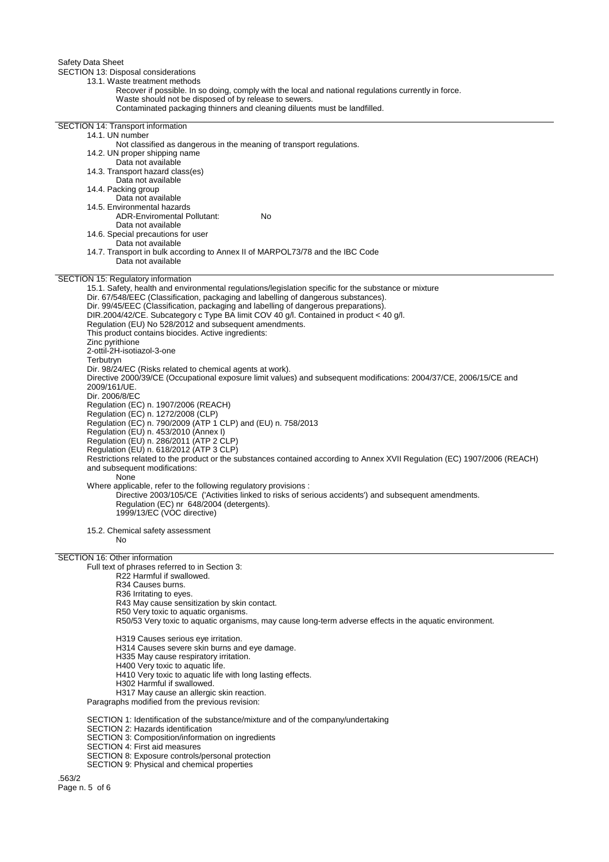Safety Data Sheet

SECTION 13: Disposal considerations

- 13.1. Waste treatment methods
	- Recover if possible. In so doing, comply with the local and national regulations currently in force. Waste should not be disposed of by release to sewers.
		- Contaminated packaging thinners and cleaning diluents must be landfilled.

SECTION 14: Transport information 14.1. UN number Not classified as dangerous in the meaning of transport regulations. 14.2. UN proper shipping name Data not available 14.3. Transport hazard class(es) Data not available 14.4. Packing group Data not available 14.5. Environmental hazards ADR-Enviromental Pollutant: No Data not available 14.6. Special precautions for user Data not available 14.7. Transport in bulk according to Annex II of MARPOL73/78 and the IBC Code Data not available SECTION 15: Regulatory information 15.1. Safety, health and environmental regulations/legislation specific for the substance or mixture Dir. 67/548/EEC (Classification, packaging and labelling of dangerous substances). Dir. 99/45/EEC (Classification, packaging and labelling of dangerous preparations). DIR.2004/42/CE. Subcategory c Type BA limit COV 40 g/l. Contained in product < 40 g/l. Regulation (EU) No 528/2012 and subsequent amendments. This product contains biocides. Active ingredients: Zinc pyrithione 2-ottil-2H-isotiazol-3-one **Terbutryn** Dir. 98/24/EC (Risks related to chemical agents at work). Directive 2000/39/CE (Occupational exposure limit values) and subsequent modifications: 2004/37/CE, 2006/15/CE and 2009/161/UE. Dir. 2006/8/EC Regulation (EC) n. 1907/2006 (REACH) Regulation (EC) n. 1272/2008 (CLP) Regulation (EC) n. 790/2009 (ATP 1 CLP) and (EU) n. 758/2013 Regulation (EU) n. 453/2010 (Annex I) Regulation (EU) n. 286/2011 (ATP 2 CLP) Regulation (EU) n. 618/2012 (ATP 3 CLP) Restrictions related to the product or the substances contained according to Annex XVII Regulation (EC) 1907/2006 (REACH) and subsequent modifications: None Where applicable, refer to the following regulatory provisions : Directive 2003/105/CE ('Activities linked to risks of serious accidents') and subsequent amendments. Regulation (EC) nr 648/2004 (detergents). 1999/13/EC (VOC directive) 15.2. Chemical safety assessment No SECTION 16: Other information Full text of phrases referred to in Section 3: R22 Harmful if swallowed. R34 Causes burns. R36 Irritating to eyes. R43 May cause sensitization by skin contact. R50 Very toxic to aquatic organisms. R50/53 Very toxic to aquatic organisms, may cause long-term adverse effects in the aquatic environment. H319 Causes serious eye irritation. H314 Causes severe skin burns and eye damage. H335 May cause respiratory irritation. H400 Very toxic to aquatic life. H410 Very toxic to aquatic life with long lasting effects. H302 Harmful if swallowed. H317 May cause an allergic skin reaction. Paragraphs modified from the previous revision: SECTION 1: Identification of the substance/mixture and of the company/undertaking SECTION 2: Hazards identification SECTION 3: Composition/information on ingredients SECTION 4: First aid measures

- SECTION 8: Exposure controls/personal protection
- SECTION 9: Physical and chemical properties

.563/2 Page n. 5 of 6